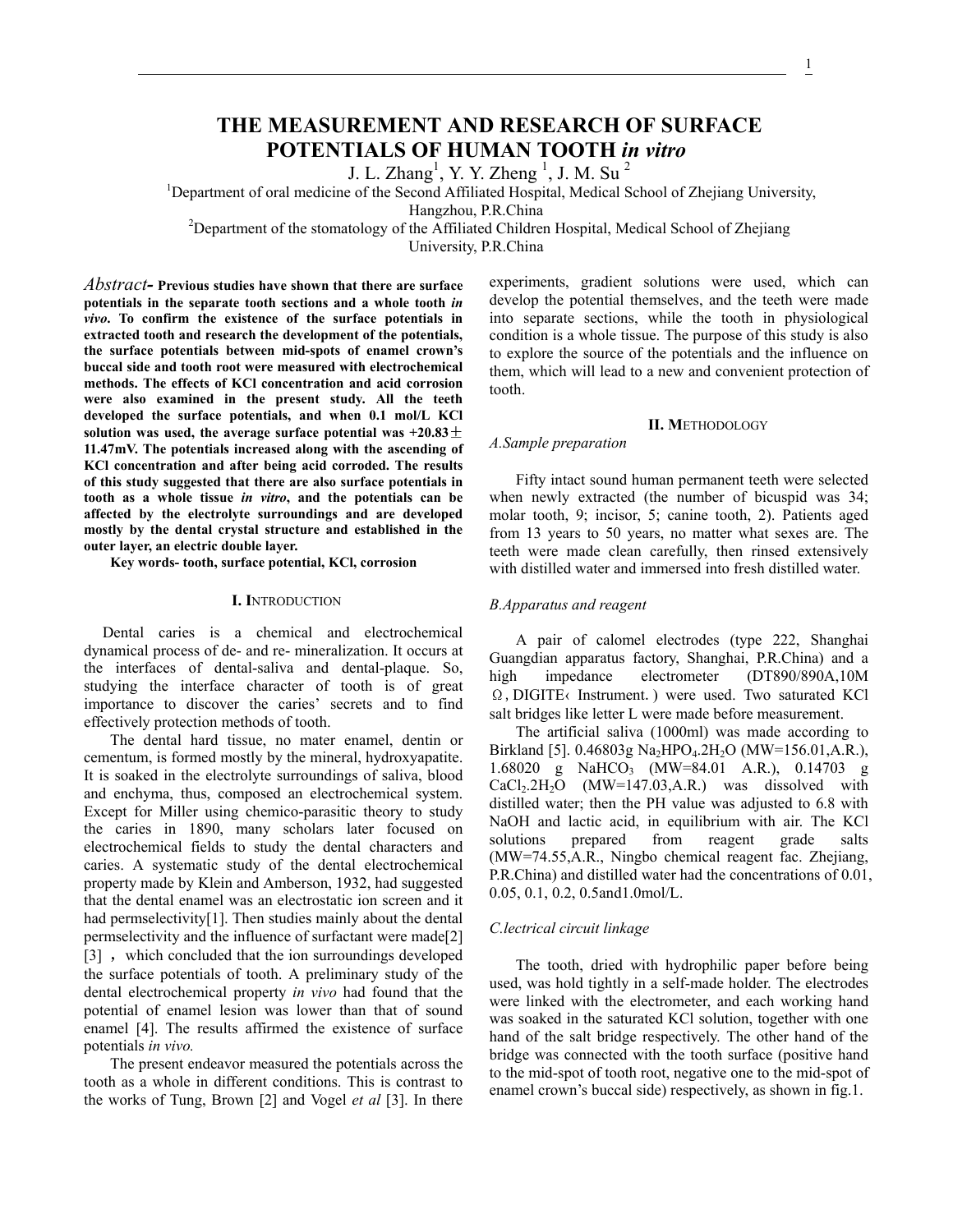# **THE MEASUREMENT AND RESEARCH OF SURFACE POTENTIALS OF HUMAN TOOTH** *in vitro*

J. L. Zhang<sup>1</sup>, Y. Y. Zheng<sup>1</sup>, J. M. Su<sup>2</sup>

<sup>1</sup>Department of oral medicine of the Second Affiliated Hospital, Medical School of Zhejiang University,

Hangzhou, P.R.China<br><sup>2</sup>Department of the stomatology of the Affiliated Children Hospital, Medical School of Zhejiang

University, P.R.China

*Abstract-* **Previous studies have shown that there are surface potentials in the separate tooth sections and a whole tooth** *in vivo***. To confirm the existence of the surface potentials in extracted tooth and research the development of the potentials, the surface potentials between mid-spots of enamel crown's buccal side and tooth root were measured with electrochemical methods. The effects of KCl concentration and acid corrosion were also examined in the present study. All the teeth developed the surface potentials, and when 0.1 mol/L KCl**  solution was used, the average surface potential was  $+20.83 \pm$ **11.47mV. The potentials increased along with the ascending of KCl concentration and after being acid corroded. The results of this study suggested that there are also surface potentials in tooth as a whole tissue** *in vitro***, and the potentials can be affected by the electrolyte surroundings and are developed mostly by the dental crystal structure and established in the outer layer, an electric double layer.** 

**Key words- tooth, surface potential, KCl, corrosion** 

## **I. I**NTRODUCTION

Dental caries is a chemical and electrochemical dynamical process of de- and re- mineralization. It occurs at the interfaces of dental-saliva and dental-plaque. So, studying the interface character of tooth is of great importance to discover the caries' secrets and to find effectively protection methods of tooth.

The dental hard tissue, no mater enamel, dentin or cementum, is formed mostly by the mineral, hydroxyapatite. It is soaked in the electrolyte surroundings of saliva, blood and enchyma, thus, composed an electrochemical system. Except for Miller using chemico-parasitic theory to study the caries in 1890, many scholars later focused on electrochemical fields to study the dental characters and caries. A systematic study of the dental electrochemical property made by Klein and Amberson, 1932, had suggested that the dental enamel was an electrostatic ion screen and it had permselectivity<sup>[1]</sup>. Then studies mainly about the dental permselectivity and the influence of surfactant were made[2] [3], which concluded that the ion surroundings developed the surface potentials of tooth. A preliminary study of the dental electrochemical property *in vivo* had found that the potential of enamel lesion was lower than that of sound enamel [4]. The results affirmed the existence of surface potentials *in vivo.*

The present endeavor measured the potentials across the tooth as a whole in different conditions. This is contrast to the works of Tung, Brown [2] and Vogel *et al* [3]. In there

experiments, gradient solutions were used, which can develop the potential themselves, and the teeth were made into separate sections, while the tooth in physiological condition is a whole tissue. The purpose of this study is also to explore the source of the potentials and the influence on them, which will lead to a new and convenient protection of tooth.

#### **II. M**ETHODOLOGY

# *A.Sample preparation*

Fifty intact sound human permanent teeth were selected when newly extracted (the number of bicuspid was 34; molar tooth, 9; incisor, 5; canine tooth, 2). Patients aged from 13 years to 50 years, no matter what sexes are. The teeth were made clean carefully, then rinsed extensively with distilled water and immersed into fresh distilled water.

## *B.Apparatus and reagent*

A pair of calomel electrodes (type 222, Shanghai Guangdian apparatus factory, Shanghai, P.R.China) and a high impedance electrometer (DT890/890A,10M  $\Omega$ , DIGITE (Instrument.) were used. Two saturated KCl salt bridges like letter L were made before measurement.

The artificial saliva (1000ml) was made according to Birkland [5]. 0.46803g Na<sub>2</sub>HPO<sub>4</sub>.2H<sub>2</sub>O (MW=156.01,A.R.), 1.68020 g NaHCO<sub>3</sub> (MW=84.01 A.R.), 0.14703 g  $CaCl<sub>2</sub>.2H<sub>2</sub>O$  (MW=147.03, A.R.) was dissolved with distilled water; then the PH value was adjusted to 6.8 with NaOH and lactic acid, in equilibrium with air. The KCl solutions prepared from reagent grade salts (MW=74.55,A.R., Ningbo chemical reagent fac. Zhejiang, P.R.China) and distilled water had the concentrations of 0.01, 0.05, 0.1, 0.2, 0.5and1.0mol/L.

## *C.lectrical circuit linkage*

The tooth, dried with hydrophilic paper before being used, was hold tightly in a self-made holder. The electrodes were linked with the electrometer, and each working hand was soaked in the saturated KCl solution, together with one hand of the salt bridge respectively. The other hand of the bridge was connected with the tooth surface (positive hand to the mid-spot of tooth root, negative one to the mid-spot of enamel crown's buccal side) respectively, as shown in fig.1.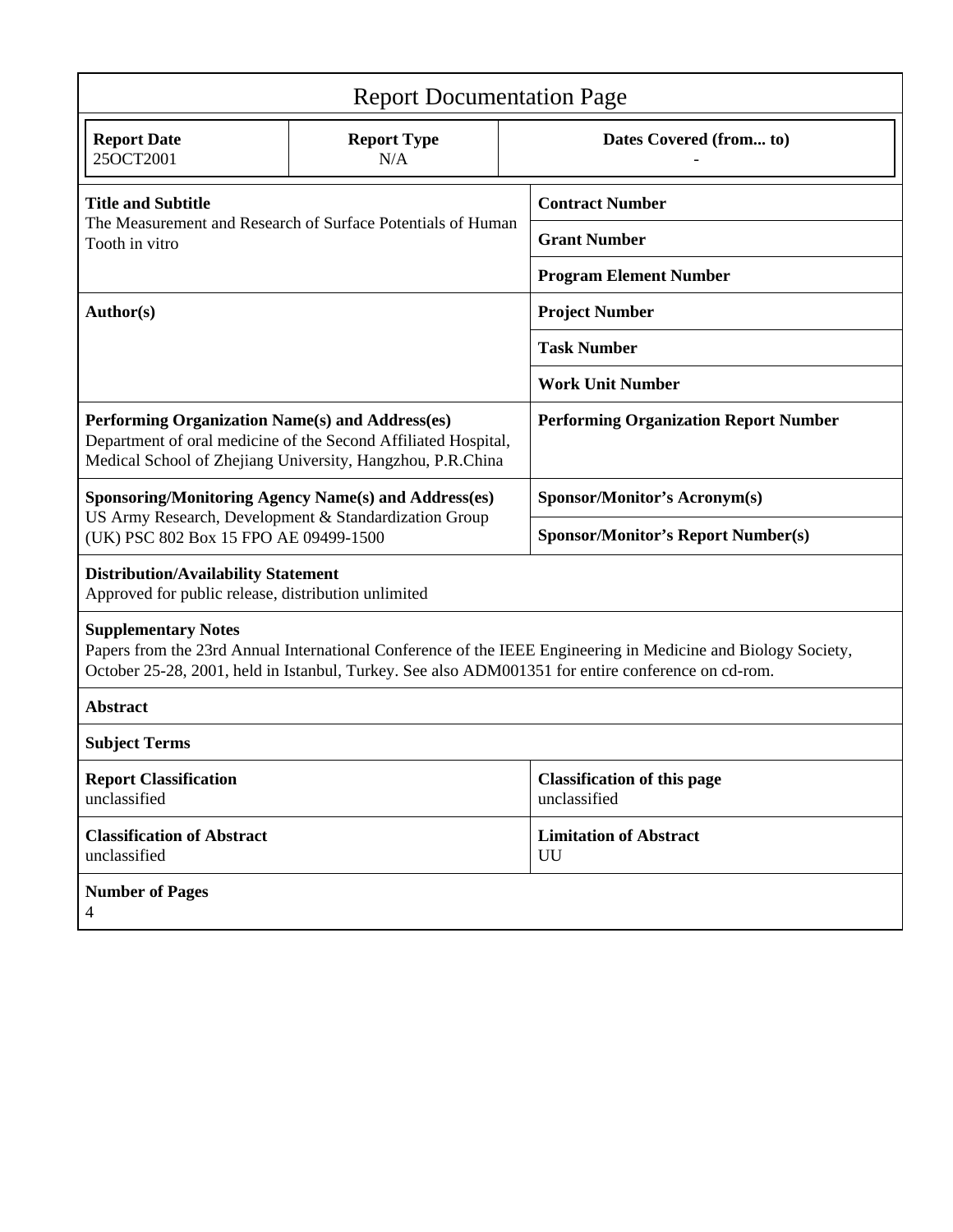| <b>Report Documentation Page</b>                                                                                                                                                                                                                  |                                                             |                                     |                                                    |  |  |
|---------------------------------------------------------------------------------------------------------------------------------------------------------------------------------------------------------------------------------------------------|-------------------------------------------------------------|-------------------------------------|----------------------------------------------------|--|--|
| <b>Report Date</b><br>25OCT2001                                                                                                                                                                                                                   | <b>Report Type</b><br>N/A                                   |                                     | Dates Covered (from to)                            |  |  |
| <b>Title and Subtitle</b><br>The Measurement and Research of Surface Potentials of Human<br>Tooth in vitro                                                                                                                                        |                                                             |                                     | <b>Contract Number</b>                             |  |  |
|                                                                                                                                                                                                                                                   |                                                             |                                     | <b>Grant Number</b>                                |  |  |
|                                                                                                                                                                                                                                                   |                                                             |                                     | <b>Program Element Number</b>                      |  |  |
| Author(s)                                                                                                                                                                                                                                         |                                                             |                                     | <b>Project Number</b>                              |  |  |
|                                                                                                                                                                                                                                                   |                                                             |                                     | <b>Task Number</b>                                 |  |  |
|                                                                                                                                                                                                                                                   |                                                             |                                     | <b>Work Unit Number</b>                            |  |  |
| Performing Organization Name(s) and Address(es)<br>Department of oral medicine of the Second Affiliated Hospital,<br>Medical School of Zhejiang University, Hangzhou, P.R.China                                                                   |                                                             |                                     | <b>Performing Organization Report Number</b>       |  |  |
|                                                                                                                                                                                                                                                   | <b>Sponsoring/Monitoring Agency Name(s) and Address(es)</b> |                                     | <b>Sponsor/Monitor's Acronym(s)</b>                |  |  |
| US Army Research, Development & Standardization Group<br>(UK) PSC 802 Box 15 FPO AE 09499-1500                                                                                                                                                    |                                                             |                                     | <b>Sponsor/Monitor's Report Number(s)</b>          |  |  |
| <b>Distribution/Availability Statement</b><br>Approved for public release, distribution unlimited                                                                                                                                                 |                                                             |                                     |                                                    |  |  |
| <b>Supplementary Notes</b><br>Papers from the 23rd Annual International Conference of the IEEE Engineering in Medicine and Biology Society,<br>October 25-28, 2001, held in Istanbul, Turkey. See also ADM001351 for entire conference on cd-rom. |                                                             |                                     |                                                    |  |  |
| <b>Abstract</b>                                                                                                                                                                                                                                   |                                                             |                                     |                                                    |  |  |
| <b>Subject Terms</b>                                                                                                                                                                                                                              |                                                             |                                     |                                                    |  |  |
| <b>Report Classification</b><br>unclassified                                                                                                                                                                                                      |                                                             |                                     | <b>Classification of this page</b><br>unclassified |  |  |
| <b>Classification of Abstract</b><br>unclassified                                                                                                                                                                                                 |                                                             | <b>Limitation of Abstract</b><br>UU |                                                    |  |  |
| <b>Number of Pages</b><br>$\overline{4}$                                                                                                                                                                                                          |                                                             |                                     |                                                    |  |  |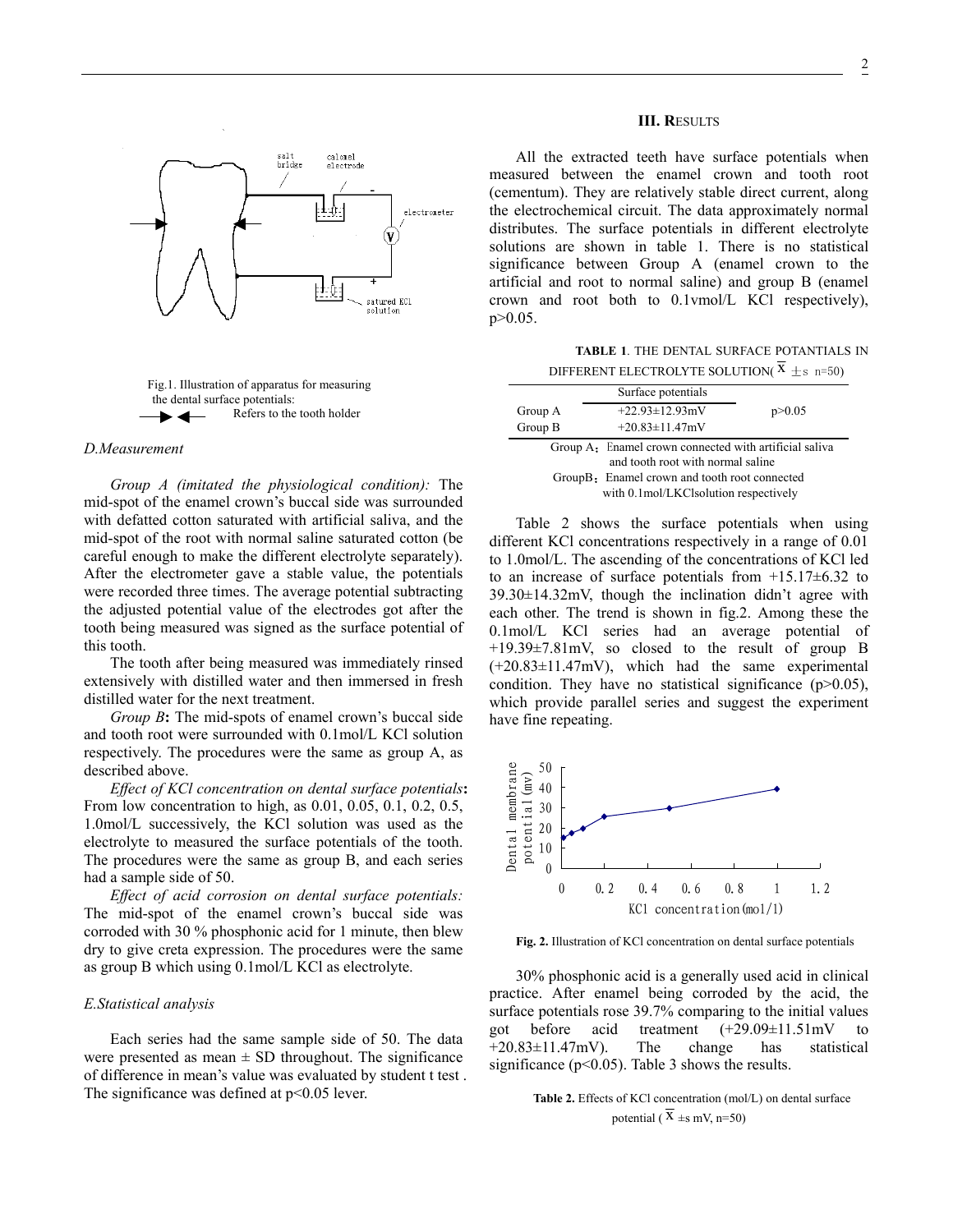



## *D.Measurement*

*Group A (imitated the physiological condition):* The mid-spot of the enamel crown's buccal side was surrounded with defatted cotton saturated with artificial saliva, and the mid-spot of the root with normal saline saturated cotton (be careful enough to make the different electrolyte separately). After the electrometer gave a stable value, the potentials were recorded three times. The average potential subtracting the adjusted potential value of the electrodes got after the tooth being measured was signed as the surface potential of this tooth.

The tooth after being measured was immediately rinsed extensively with distilled water and then immersed in fresh distilled water for the next treatment.

*Group B***:** The mid-spots of enamel crown's buccal side and tooth root were surrounded with 0.1mol/L KCl solution respectively. The procedures were the same as group A, as described above.

*Effect of KCl concentration on dental surface potentials***:** From low concentration to high, as 0.01, 0.05, 0.1, 0.2, 0.5, 1.0mol/L successively, the KCl solution was used as the electrolyte to measured the surface potentials of the tooth. The procedures were the same as group B, and each series had a sample side of 50.

*Effect of acid corrosion on dental surface potentials:*  The mid-spot of the enamel crown's buccal side was corroded with 30 % phosphonic acid for 1 minute, then blew dry to give creta expression. The procedures were the same as group B which using 0.1mol/L KCl as electrolyte.

#### *E.Statistical analysis*

Each series had the same sample side of 50. The data were presented as mean  $\pm$  SD throughout. The significance of difference in mean's value was evaluated by student t test . The significance was defined at  $p<0.05$  lever.

## **III. R**ESULTS

All the extracted teeth have surface potentials when measured between the enamel crown and tooth root (cementum). They are relatively stable direct current, along the electrochemical circuit. The data approximately normal distributes. The surface potentials in different electrolyte solutions are shown in table 1. There is no statistical significance between Group A (enamel crown to the artificial and root to normal saline) and group B (enamel crown and root both to 0.1vmol/L KCl respectively), p>0.05.

**TABLE 1**. THE DENTAL SURFACE POTANTIALS IN DIFFERENT ELECTROLYTE SOLUTION( $\bar{x} \pm s$  n=50)

|                                                                                             | Surface potentials                    |          |  |  |
|---------------------------------------------------------------------------------------------|---------------------------------------|----------|--|--|
| Group A                                                                                     | $+22.93 \pm 12.93 \text{mV}$          | p > 0.05 |  |  |
| Group B                                                                                     | $+20.83 \pm 11.47$ mV                 |          |  |  |
| Group A: Enamel crown connected with artificial saliva<br>and tooth root with normal saline |                                       |          |  |  |
| GroupB: Enamel crown and tooth root connected                                               |                                       |          |  |  |
|                                                                                             | with 0.1mol/LKClsolution respectively |          |  |  |

Table 2 shows the surface potentials when using different KCl concentrations respectively in a range of 0.01 to 1.0mol/L. The ascending of the concentrations of KCl led to an increase of surface potentials from  $+15.17\pm6.32$  to 39.30±14.32mV, though the inclination didn't agree with each other. The trend is shown in fig.2. Among these the 0.1mol/L KCl series had an average potential of +19.39±7.81mV, so closed to the result of group B (+20.83±11.47mV), which had the same experimental condition. They have no statistical significance  $(p>0.05)$ , which provide parallel series and suggest the experiment have fine repeating.



**Fig. 2.** Illustration of KCl concentration on dental surface potentials

30% phosphonic acid is a generally used acid in clinical practice. After enamel being corroded by the acid, the surface potentials rose 39.7% comparing to the initial values got before acid treatment (+29.09±11.51mV to  $+20.83\pm11.47$ mV). The change has statistical significance ( $p<0.05$ ). Table 3 shows the results.

> **Table 2.** Effects of KCl concentration (mol/L) on dental surface potential ( $\overline{X}$  ±s mV, n=50)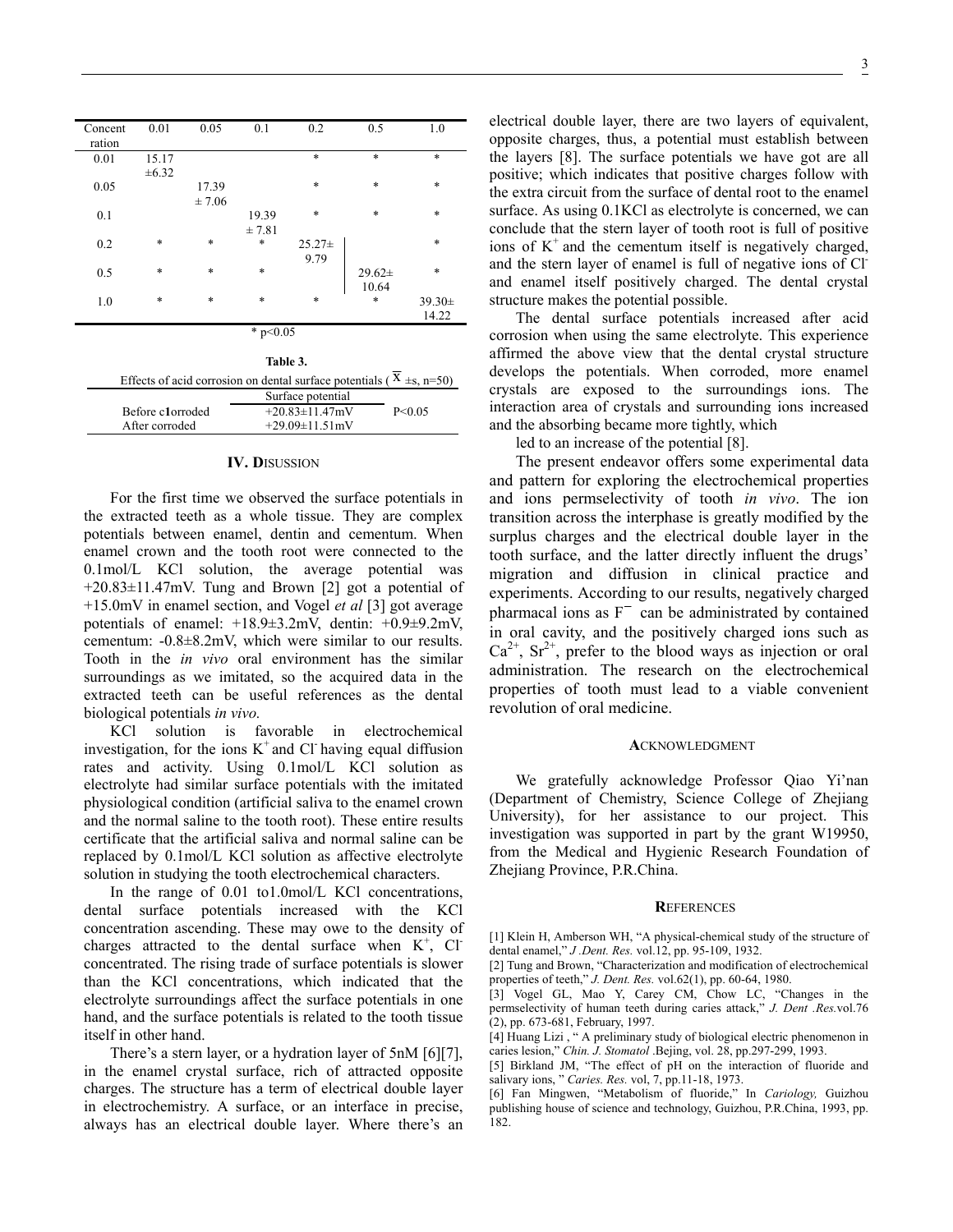| Concent<br>ration | 0.01       | 0.05   | 0.1    | 0.2         | 0.5         | 1.0         |
|-------------------|------------|--------|--------|-------------|-------------|-------------|
| 0.01              | 15.17      |        |        | $\ast$      | $\ast$      | $\ast$      |
|                   | $\pm 6.32$ |        |        |             |             |             |
| 0.05              |            | 17.39  |        | $\ast$      | $\ast$      | $\ast$      |
|                   |            | ± 7.06 |        |             |             |             |
| 0.1               |            |        | 19.39  | $\ast$      | $\ast$      | $\ast$      |
|                   |            |        | ±7.81  |             |             |             |
| 0.2               | $\ast$     | $\ast$ | *      | $25.27 \pm$ |             | $\ast$      |
|                   |            |        |        | 9.79        |             |             |
| 0.5               | $\ast$     | $\ast$ | $\ast$ |             | $29.62 \pm$ | $\ast$      |
|                   |            |        |        |             | 10.64       |             |
| 1.0               | $\ast$     | $\ast$ | $\ast$ | $\ast$      | $\ast$      | $39.30 \pm$ |
|                   |            |        |        |             |             | 14.22       |
| * $p<0.05$        |            |        |        |             |             |             |
|                   |            |        |        |             |             |             |
|                   |            |        | $-1$   |             |             |             |

|                                                                            | таріе э.                     |          |  |  |
|----------------------------------------------------------------------------|------------------------------|----------|--|--|
| Effects of acid corrosion on dental surface potentials ( $X \pm s$ , n=50) |                              |          |  |  |
|                                                                            | Surface potential            |          |  |  |
| Before c1orroded                                                           | $+20.83 \pm 11.47 \text{mV}$ | P < 0.05 |  |  |
| After corroded                                                             | $+29.09\pm11.51$ mV          |          |  |  |
|                                                                            |                              |          |  |  |

### **IV. D**ISUSSION

For the first time we observed the surface potentials in the extracted teeth as a whole tissue. They are complex potentials between enamel, dentin and cementum. When enamel crown and the tooth root were connected to the 0.1mol/L KCl solution, the average potential was +20.83±11.47mV. Tung and Brown [2] got a potential of +15.0mV in enamel section, and Vogel *et al* [3] got average potentials of enamel: +18.9±3.2mV, dentin: +0.9±9.2mV, cementum: -0.8±8.2mV, which were similar to our results. Tooth in the *in vivo* oral environment has the similar surroundings as we imitated, so the acquired data in the extracted teeth can be useful references as the dental biological potentials *in vivo.* 

KCl solution is favorable in electrochemical investigation, for the ions  $K^+$  and Cl- having equal diffusion rates and activity. Using 0.1mol/L KCl solution as electrolyte had similar surface potentials with the imitated physiological condition (artificial saliva to the enamel crown and the normal saline to the tooth root). These entire results certificate that the artificial saliva and normal saline can be replaced by 0.1mol/L KCl solution as affective electrolyte solution in studying the tooth electrochemical characters.

In the range of 0.01 to1.0mol/L KCl concentrations, dental surface potentials increased with the KCl concentration ascending. These may owe to the density of charges attracted to the dental surface when  $K^+$ , Cl<sup>-</sup> concentrated. The rising trade of surface potentials is slower than the KCl concentrations, which indicated that the electrolyte surroundings affect the surface potentials in one hand, and the surface potentials is related to the tooth tissue itself in other hand.

There's a stern layer, or a hydration layer of 5nM [6][7], in the enamel crystal surface, rich of attracted opposite charges. The structure has a term of electrical double layer in electrochemistry. A surface, or an interface in precise, always has an electrical double layer. Where there's an

electrical double layer, there are two layers of equivalent, opposite charges, thus, a potential must establish between the layers [8]. The surface potentials we have got are all positive; which indicates that positive charges follow with the extra circuit from the surface of dental root to the enamel surface. As using 0.1KCl as electrolyte is concerned, we can conclude that the stern layer of tooth root is full of positive ions of  $K^+$  and the cementum itself is negatively charged, and the stern layer of enamel is full of negative ions of Cl and enamel itself positively charged. The dental crystal structure makes the potential possible.

The dental surface potentials increased after acid corrosion when using the same electrolyte. This experience affirmed the above view that the dental crystal structure develops the potentials. When corroded, more enamel crystals are exposed to the surroundings ions. The interaction area of crystals and surrounding ions increased and the absorbing became more tightly, which

led to an increase of the potential [8].

The present endeavor offers some experimental data and pattern for exploring the electrochemical properties and ions permselectivity of tooth *in vivo*. The ion transition across the interphase is greatly modified by the surplus charges and the electrical double layer in the tooth surface, and the latter directly influent the drugs' migration and diffusion in clinical practice and experiments. According to our results, negatively charged pharmacal ions as  $F^-$  can be administrated by contained in oral cavity, and the positively charged ions such as  $Ca^{2+}$ ,  $Sr^{2+}$ , prefer to the blood ways as injection or oral administration. The research on the electrochemical properties of tooth must lead to a viable convenient revolution of oral medicine.

#### **A**CKNOWLEDGMENT

We gratefully acknowledge Professor Qiao Yi'nan (Department of Chemistry, Science College of Zhejiang University), for her assistance to our project. This investigation was supported in part by the grant W19950, from the Medical and Hygienic Research Foundation of Zhejiang Province, P.R.China.

## **R**EFERENCES

[1] Klein H, Amberson WH, "A physical-chemical study of the structure of dental enamel," *J .Dent. Res.* vol.12, pp. 95-109, 1932.

<sup>[2]</sup> Tung and Brown, "Characterization and modification of electrochemical properties of teeth," *J. Dent. Res.* vol.62(1), pp. 60-64, 1980.

<sup>[3]</sup> Vogel GL, Mao Y, Carey CM, Chow LC, "Changes in the permselectivity of human teeth during caries attack," *J. Dent .Res.*vol.76 (2), pp. 673-681, February, 1997.

<sup>[4]</sup> Huang Lizi , " A preliminary study of biological electric phenomenon in caries lesion," *Chin. J. Stomatol* .Bejing, vol. 28, pp.297-299, 1993.

<sup>[5]</sup> Birkland JM, "The effect of pH on the interaction of fluoride and salivary ions, " *Caries. Res.* vol, 7, pp.11-18, 1973.

<sup>[6]</sup> Fan Mingwen, "Metabolism of fluoride," In *Cariology,* Guizhou publishing house of science and technology, Guizhou, P.R.China, 1993, pp. 182.